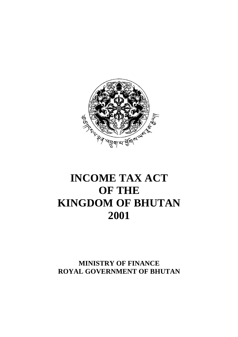

# **INCOME TAX ACT OF THE KINGDOM OF BHUTAN 2001**

**MINISTRY OF FINANCE ROYAL GOVERNMENT OF BHUTAN**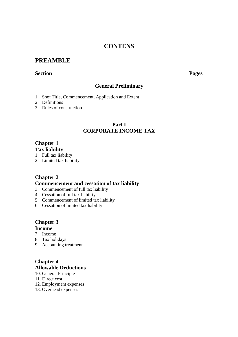### **CONTENS**

### **PREAMBLE**

#### **Section Pages**

### **General Preliminary**

- 1. Shot Title, Commencement, Application and Extent
- 2. Definitions
- 3. Rules of construction

### **Part I CORPORATE INCOME TAX**

### **Chapter 1 Tax liability**

- 1. Full tax liability
- 2. Limited tax liability

### **Chapter 2**

#### **Commencement and cessation of tax liability**

- 3. Commencement of full tax liability
- 4. Cessation of full tax liability
- 5. Commencement of limited tax liability
- 6. Cessation of limited tax liability

### **Chapter 3**

### **Income**

- 7. Income
- 8. Tax holidays
- 9. Accounting treatment

### **Chapter 4 Allowable Deductions**

- 10. General Principle
- 11. Direct cost
- 12. Employment expenses
- 13. Overhead expenses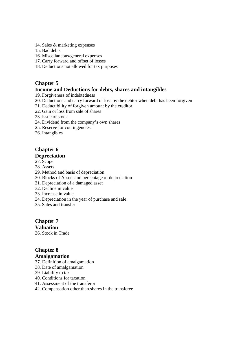- 14. Sales & marketing expenses
- 15. Bad debts
- 16. Miscellaneous/general expenses
- 17. Carry forward and offset of losses
- 18. Deductions not allowed for tax purposes

### **Chapter 5**

#### **Income and Deductions for debts, shares and intangibles**

- 19. Forgiveness of indebtedness
- 20. Deductions and carry forward of loss by the debtor when debt has been forgiven
- 21. Deductibility of forgiven amount by the creditor
- 22. Gain or loss from sale of shares
- 23. Issue of stock
- 24. Dividend from the company's own shares
- 25. Reserve for contingencies
- 26. Intangibles

## **Chapter 6**

### **Depreciation**

- 27. Scope
- 28. Assets
- 29. Method and basis of depreciation
- 30. Blocks of Assets and percentage of depreciation
- 31. Depreciation of a damaged asset
- 32. Decline in value
- 33. Increase in value
- 34. Depreciation in the year of purchase and sale
- 35. Sales and transfer

#### **Chapter 7 Valuation**

36. Stock in Trade

### **Chapter 8**

#### **Amalgamation**

- 37. Definition of amalgamation
- 38. Date of amalgamation
- 39. Liability to tax
- 40. Conditions for taxation
- 41. Assessment of the transferor
- 42. Compensation other than shares in the transferee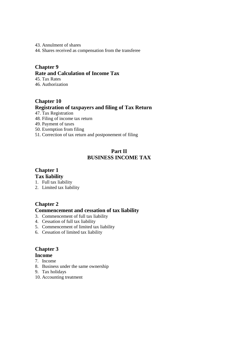- 43. Annulment of shares
- 44. Shares received as compensation from the transferee

### **Chapter 9 Rate and Calculation of Income Tax**

45. Tax Rates 46. Authorization

## **Chapter 10 Registration of taxpayers and filing of Tax Return**

- 47. Tax Registration
- 48. Filing of income tax return
- 49. Payment of taxes
- 50. Exemption from filing
- 51. Correction of tax return and postponement of filing

### **Part II BUSINESS INCOME TAX**

## **Chapter 1**

### **Tax liability**

- 1. Full tax liability
- 2. Limited tax liability

### **Chapter 2**

### **Commencement and cessation of tax liability**

- 3. Commencement of full tax liability
- 4. Cessation of full tax liability
- 5. Commencement of limited tax liability
- 6. Cessation of limited tax liability

## **Chapter 3**

### **Income**

- 7. Income
- 8. Business under the same ownership
- 9. Tax holidays
- 10. Accounting treatment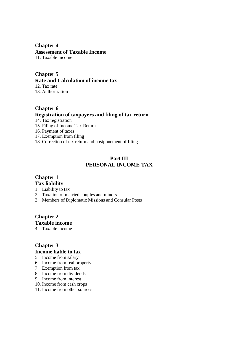## **Chapter 4**

**Assessment of Taxable Income** 

11. Taxable Income

## **Chapter 5**

**Rate and Calculation of income tax** 

12. Tax rate

13. Authorization

### **Chapter 6 Registration of taxpayers and filing of tax return**

14. Tax registration

- 15. Filing of Income Tax Return
- 16. Payment of taxes
- 17. Exemption from filing
- 18. Correction of tax return and postponement of filing

### **Part III PERSONAL INCOME TAX**

## **Chapter 1**

### **Tax liability**

- 1. Liability to tax
- 2. Taxation of married couples and minors
- 3. Members of Diplomatic Missions and Consular Posts

### **Chapter 2 Taxable income**

4. Taxable income

## **Chapter 3 Income liable to tax**

- 5. Income from salary
- 6. Income from real property
- 7. Exemption from tax
- 8. Income from dividends
- 9. Income from interest
- 10. Income from cash crops
- 11. Income from other sources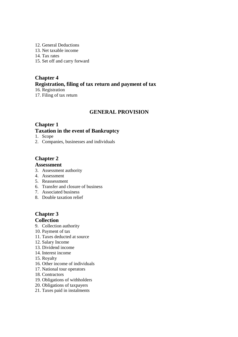- 12. General Deductions
- 13. Net taxable income
- 14. Tax rates
- 15. Set off and carry forward

### **Chapter 4 Registration, filing of tax return and payment of tax**  16. Registration

17. Filing of tax return

### **GENERAL PROVISION**

### **Chapter 1 Taxation in the event of Bankruptcy**

- 1. Scope
- 2. Companies, businesses and individuals

### **Chapter 2**

### **Assessment**

- 3. Assessment authority
- 4. Assessment
- 5. Reassessment
- 6. Transfer and closure of business
- 7. Associated business
- 8. Double taxation relief

### **Chapter 3 Collection**

- 9. Collection authority
- 10. Payment of tax
- 11. Taxes deducted at source
- 12. Salary Income
- 13. Dividend income
- 14. Interest income
- 15. Royalty
- 16. Other income of individuals
- 17. National tour operators
- 18. Contractors
- 19. Obligations of withholders
- 20. Obligations of taxpayers
- 21. Taxes paid in instalments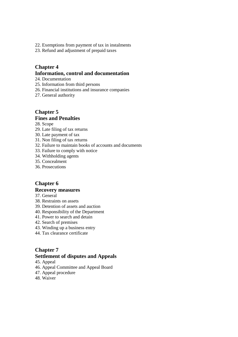- 22. Exemptions from payment of tax in instalments
- 23. Refund and adjustment of prepaid taxes

### **Chapter 4 Information, control and documentation**

- 24. Documentation
- 25. Information from third persons
- 26. Financial institutions and insurance companies
- 27. General authority

#### **Chapter 5 Fines and Penalties**

28. Scope

- 29. Late filing of tax returns
- 30. Late payment of tax
- 31. Non filing of tax returns
- 32. Failure to maintain books of accounts and documents
- 33. Failure to comply with notice
- 34. Withholding agents
- 35. Concealment
- 36. Prosecutions

### **Chapter 6**

#### **Recovery measures**

- 37. General
- 38. Restraints on assets
- 39. Detention of assets and auction
- 40. Responsibility of the Department
- 41. Power to search and detain
- 42. Search of premises
- 43. Winding up a business entry
- 44. Tax clearance certificate

### **Chapter 7**

### **Settlement of disputes and Appeals**

- 45. Appeal
- 46. Appeal Committee and Appeal Board
- 47. Appeal procedure
- 48. Waiver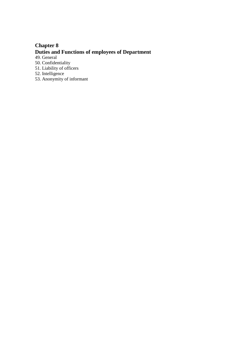## **Chapter 8 Duties and Functions of employees of Department**

49. General

50. Confidentiality

51. Liability of officers

52. Intelligence

53. Anonymity of informant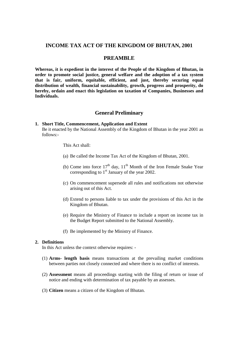#### **INCOME TAX ACT OF THE KINGDOM OF BHUTAN, 2001**

#### **PREAMBLE**

**Whereas, it is expedient in the interest of the People of the Kingdom of Bhutan, in order to promote social justice, general welfare and the adoption of a tax system that is fair, uniform, equitable, efficient, and just, thereby securing equal distribution of wealth, financial sustainability, growth, progress and prosperity, do hereby, ordain and enact this legislation on taxation of Companies, Businesses and Individuals.** 

#### **General Preliminary**

#### **1. Short Title, Commencement, Application and Extent**

Be it enacted by the National Assembly of the Kingdom of Bhutan in the year 2001 as follows:-

This Act shall:

- (a) Be called the Income Tax Act of the Kingdom of Bhutan, 2001.
- (b) Come into force  $17<sup>th</sup>$  day,  $11<sup>th</sup>$  Month of the Iron Female Snake Year corresponding to  $1<sup>st</sup>$  January of the year 2002.
- (c) On commencement supersede all rules and notifications not otherwise arising out of this Act.
- (d) Extend to persons liable to tax under the provisions of this Act in the Kingdom of Bhutan.
- (e) Require the Ministry of Finance to include a report on income tax in the Budget Report submitted to the National Assembly.
- (f) Be implemented by the Ministry of Finance.

#### **2. Definitions**

In this Act unless the context otherwise requires: -

- (1) **Arms- length basis** means transactions at the prevailing market conditions between parties not closely connected and where there is no conflict of interests.
- (2) **Assessment** means all proceedings starting with the filing of return or issue of notice and ending with determination of tax payable by an assesses.
- (3) **Citizen** means a citizen of the Kingdom of Bhutan.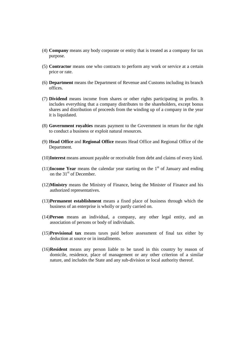- (4) **Company** means any body corporate or entity that is treated as a company for tax purpose.
- (5) **Contractor** means one who contracts to perform any work or service at a certain price or rate.
- (6) **Department** means the Department of Revenue and Customs including its branch offices.
- (7) **Dividend** means income from shares or other rights participating in profits. It includes everything that a company distributes to the shareholders, except bonus shares and distribution of proceeds from the winding up of a company in the year it is liquidated.
- (8) **Government royalties** means payment to the Government in return for the right to conduct a business or exploit natural resources.
- (9) **Head Office** and **Regional Office** means Head Office and Regional Office of the Department.
- (10)**Interest** means amount payable or receivable from debt and claims of every kind.
- (11)**Income Year** means the calendar year starting on the  $1<sup>st</sup>$  of January and ending on the  $31<sup>st</sup>$  of December.
- (12)**Ministry** means the Ministry of Finance, being the Minister of Finance and his authorized representatives.
- (13)**Permanent establishment** means a fixed place of business through which the business of an enterprise is wholly or partly carried on.
- (14)**Person** means an individual, a company, any other legal entity, and an association of persons or body of individuals.
- (15)**Provisional tax** means taxes paid before assessment of final tax either by deduction at source or in installments.
- (16)**Resident** means any person liable to be taxed in this country by reason of domicile, residence, place of management or any other criterion of a similar nature, and includes the State and any sub-division or local authority thereof.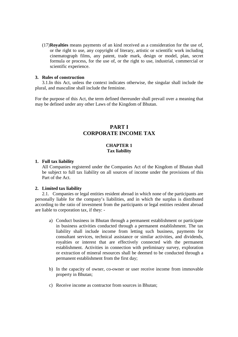(17)**Royalties** means payments of an kind received as a consideration for the use of, or the right to use, any copyright of literary, artistic or scientific work including cinematograph films, any patent, trade mark, design or model, plan, secret formula or process, for the use of, or the right to use, industrial, commercial or scientific experience.

#### **3. Rules of construction**

3.1.In this Act, unless the context indicates otherwise, the singular shall include the plural, and masculine shall include the feminine.

For the purpose of this Act, the term defined thereunder shall prevail over a meaning that may be defined under any other Laws of the Kingdom of Bhutan.

### **PART I CORPORATE INCOME TAX**

#### **CHAPTER 1 Tax liability**

#### **1. Full tax liability**

All Companies registered under the Companies Act of the Kingdom of Bhutan shall be subject to full tax liability on all sources of income under the provisions of this Part of the Act.

#### **2. Limited tax liability**

2.1. Companies or legal entities resident abroad in which none of the participants are personally liable for the company's liabilities, and in which the surplus is distributed according to the ratio of investment from the participants or legal entities resident abroad are liable to corporation tax, if they: -

- a) Conduct business in Bhutan through a permanent establishment or participate in business activities conducted through a permanent establishment. The tax liability shall include income from letting such business, payments for consultant services, technical assistance or similar activities, and dividends, royalties or interest that are effectively connected with the permanent establishment. Activities in connection with preliminary survey, exploration or extraction of mineral resources shall be deemed to be conducted through a permanent establishment from the first day;
- b) In the capacity of owner, co-owner or user receive income from immovable property in Bhutan;
- c) Receive income as contractor from sources in Bhutan;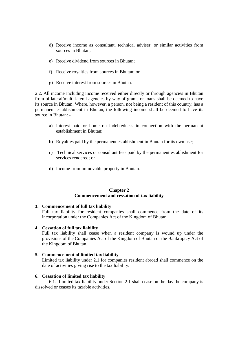- d) Receive income as consultant, technical adviser, or similar activities from sources in Bhutan;
- e) Receive dividend from sources in Bhutan;
- f) Receive royalties from sources in Bhutan; or
- g) Receive interest from sources in Bhutan.

2.2. All income including income received either directly or through agencies in Bhutan from bi-lateral/multi-lateral agencies by way of grants or loans shall be deemed to have its source in Bhutan. Where, however, a person, not being a resident of this country, has a permanent establishment in Bhutan, the following income shall be deemed to have its source in Bhutan: -

- a) Interest paid or home on indebtedness in connection with the permanent establishment in Bhutan;
- b) Royalties paid by the permanent establishment in Bhutan for its own use;
- c) Technical services or consultant fees paid by the permanent establishment for services rendered; or
- d) Income from immovable property in Bhutan.

#### **Chapter 2 Commencement and cessation of tax liability**

#### **3. Commencement of full tax liability**

Full tax liability for resident companies shall commence from the date of its incorporation under the Companies Act of the Kingdom of Bhutan.

#### **4. Cessation of full tax liability**

Full tax liability shall cease when a resident company is wound up under the provisions of the Companies Act of the Kingdom of Bhutan or the Bankruptcy Act of the Kingdom of Bhutan.

#### **5. Commencement of limited tax liability**

Limited tax liability under 2.1 for companies resident abroad shall commence on the date of activities giving rise to the tax liability.

#### **6. Cessation of limited tax liability**

6.1. Limited tax liability under Section 2.1 shall cease on the day the company is dissolved or ceases its taxable activities.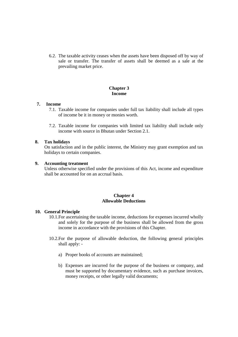6.2. The taxable activity ceases when the assets have been disposed off by way of sale or transfer. The transfer of assets shall be deemed as a sale at the prevailing market price.

#### **Chapter 3 Income**

#### **7. Income**

- 7.1. Taxable income for companies under full tax liability shall include all types of income be it in money or monies worth.
- 7.2. Taxable income for companies with limited tax liability shall include only income with source in Bhutan under Section 2.1.

#### **8. Tax holidays**

On satisfaction and in the public interest, the Ministry may grant exemption and tax holidays to certain companies.

#### **9. Accounting treatment**

Unless otherwise specified under the provisions of this Act, income and expenditure shall be accounted for on an accrual basis.

#### **Chapter 4 Allowable Deductions**

#### **10. General Principle**

- 10.1.For ascertaining the taxable income, deductions for expenses incurred wholly and solely for the purpose of the business shall be allowed from the gross income in accordance with the provisions of this Chapter.
- 10.2.For the purpose of allowable deduction, the following general principles shall apply:
	- a) Proper books of accounts are maintained;
	- b) Expenses are incurred for the purpose of the business or company, and must be supported by documentary evidence, such as purchase invoices, money receipts, or other legally valid documents;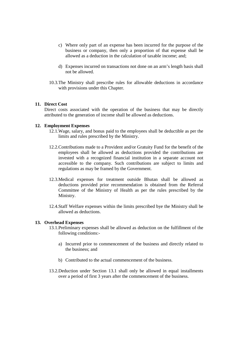- c) Where only part of an expense has been incurred for the purpose of the business or company, then only a proportion of that expense shall be allowed as a deduction in the calculation of taxable income; and;
- d) Expenses incurred on transactions not done on an arm's length basis shall not be allowed.
- 10.3.The Ministry shall prescribe rules for allowable deductions in accordance with provisions under this Chapter.

#### **11. Direct Cost**

Direct costs associated with the operation of the business that may be directly attributed to the generation of income shall be allowed as deductions.

#### **12. Employment Expenses**

- 12.1.Wage, salary, and bonus paid to the employees shall be deductible as per the limits and rules prescribed by the Ministry.
- 12.2.Contributions made to a Provident and/or Gratuity Fund for the benefit of the employees shall be allowed as deductions provided the contributions are invested with a recognized financial institution in a separate account not accessible to the company. Such contributions are subject to limits and regulations as may be framed by the Government.
- 12.3.Medical expenses for treatment outside Bhutan shall be allowed as deductions provided prior recommendation is obtained from the Referral Committee of the Ministry of Health as per the rules prescribed by the Ministry.
- 12.4.Staff Welfare expenses within the limits prescribed bye the Ministry shall be allowed as deductions.

#### **13. Overhead Expenses**

- 13.1.Preliminary expenses shall be allowed as deduction on the fulfillment of the following conditions:
	- a) Incurred prior to commencement of the business and directly related to the business; and
	- b) Contributed to the actual commencement of the business.
- 13.2.Deduction under Section 13.1 shall only be allowed in equal installments over a period of first 3 years after the commencement of the business.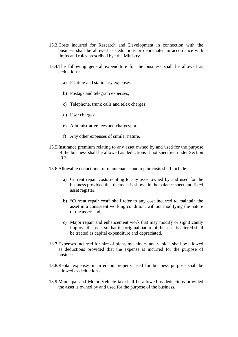- 13.3.Costs incurred for Research and Development in connection with the business shall be allowed as deductions or depreciated in accordance with limits and rules prescribed bye the Ministry.
- 13.4.The following general expenditure for the business shall be allowed as deductions:
	- a) Printing and stationary expenses;
	- b) Postage and telegram expenses;
	- c) Telephone, trunk calls and telex charges;
	- d) User charges;
	- e) Administrative fees and charges; or
	- f) Any other expenses of similar nature.
- 13.5.Insurance premium relating to any asset owned by and used for the purpose of the business shall be allowed as deductions if not specified under Section 29.3
- 13.6.Allowable deductions for maintenance and repair costs shall include:
	- a) Current repair costs relating to any asset owned by and used for the business provided that the asset is shown in the balance sheet and fixed asset register;
	- b) "Current repair cost" shall refer to any cost incurred to maintain the asset in a consistent working condition, without modifying the nature of the asset; and
	- c) Major repair and enhancement work that may modify or significantly improve the asset so that the original nature of the asset is altered shall be treated as capital expenditure and depreciated.
- 13.7.Expenses incurred for hire of plant, machinery and vehicle shall be allowed as deductions provided that the expense is incurred for the purpose of business.
- 13.8.Rental expenses incurred on property used for business purpose shall be allowed as deductions.
- 13.9.Municipal and Motor Vehicle tax shall be allowed as deductions provided the asset is owned by and used for the purpose of the business.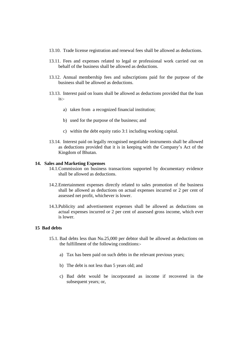- 13.10. Trade license registration and renewal fees shall be allowed as deductions.
- 13.11. Fees and expenses related to legal or professional work carried out on behalf of the business shall be allowed as deductions.
- 13.12. Annual membership fees and subscriptions paid for the purpose of the business shall be allowed as deductions.
- 13.13. Interest paid on loans shall be allowed as deductions provided that the loan is:
	- a) taken from a recognized financial institution;
	- b) used for the purpose of the business; and
	- c) within the debt equity ratio 3:1 including working capital.
- 13.14. Interest paid on legally recognised negotiable instruments shall be allowed as deductions provided that it is in keeping with the Company's Act of the Kingdom of Bhutan.

#### **14. Sales and Marketing Expenses**

- 14.1.Commission on business transactions supported by documentary evidence shall be allowed as deductions.
- 14.2.Entertainment expenses directly related to sales promotion of the business shall be allowed as deductions on actual expenses incurred or 2 per cent of assessed net profit, whichever is lower.
- 14.3.Publicity and advertisement expenses shall be allowed as deductions on actual expenses incurred or 2 per cent of assessed gross income, which ever is lower.

#### **15 Bad debts**

- 15.1. Bad debts less than Nu.25,000 per debtor shall be allowed as deductions on the fulfillment of the following conditions:
	- a) Tax has been paid on such debts in the relevant previous years;
	- b) The debt is not less than 5 years old; and
	- c) Bad debt would be incorporated as income if recovered in the subsequent years; or,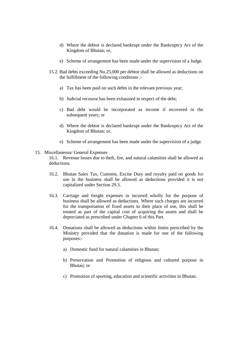- d) Where the debtor is declared bankrupt under the Bankruptcy Act of the Kingdom of Bhutan; or,
- e) Scheme of arrangement has been made under the supervision of a Judge.
- 15.2. Bad debts exceeding Nu.25,000 per debtor shall be allowed as deductions on the fulfillment of the following conditions :
	- a) Tax has been paid on such debts in the relevant previous year;
	- b) Judicial recourse has been exhausted in respect of the debt;
	- c) Bad debt would be incorporated as income if recovered in the subsequent years; or
	- d) Where the debtor is declared bankrupt under the Bankruptcy Act of the Kingdom of Bhutan; or,
	- e) Scheme of arrangement has been made under the supervision of a judge.

#### 15. Miscellaneous/ General Expenses

16.1. Revenue losses due to theft, fire, and natural calamities shall be allowed as deductions.

- 16.2. Bhutan Sales Tax, Customs, Excise Duty and royalty paid on goods for use in the business shall be allowed as deductions provided it is not capitalized under Section 29.3.
- 16.3. Carriage and freight expenses in incurred wholly for the purpose of business shall be allowed as deductions. Where such charges are incurred for the transportation of fixed assets to their place of use, this shall be treated as part of the capital cost of acquiring the assets and shall be depreciated as prescribed under Chapter 6 of this Part.
- 16.4. Donations shall be allowed as deductions within limits prescribed by the Ministry provided that the donation is made for one of the following purposes:
	- a) Domestic fund for natural calamities in Bhutan;
	- b) Preservation and Promotion of religious and cultured purpose in Bhutan; or
	- c) Promotion of sporting, education and scientific activities in Bhutan.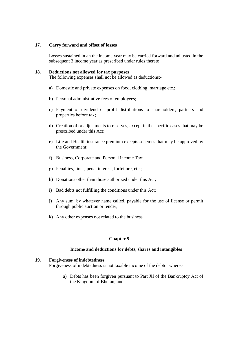#### **17. Carry forward and offset of losses**

Losses sustained in an the income year may be carried forward and adjusted in the subsequent 3 income year as prescribed under rules thereto.

#### **18. Deductions not allowed for tax purposes**

The following expenses shall not be allowed as deductions:-

- a) Domestic and private expenses on food, clothing, marriage etc.;
- b) Personal administrative fees of employees;
- c) Payment of dividend or profit distributions to shareholders, partners and properties before tax;
- d) Creation of or adjustments to reserves, except in the specific cases that may be prescribed under this Act;
- e) Life and Health insurance premium excepts schemes that may be approved by the Government;
- f) Business, Corporate and Personal income Tax;
- g) Penalties, fines, penal interest, forfeiture, etc.;
- h) Donations other than those authorized under this Act;
- i) Bad debts not fulfilling the conditions under this Act;
- j) Any sum, by whatever name called, payable for the use of license or permit through public auction or tender;
- k) Any other expenses not related to the business.

#### **Chapter 5**

#### **Income and deductions for debts, shares and intangibles**

#### **19. Forgiveness of indebtedness**

Forgiveness of indebtedness is not taxable income of the debtor where:-

a) Debts has been forgiven pursuant to Part Xl of the Bankruptcy Act of the Kingdom of Bhutan; and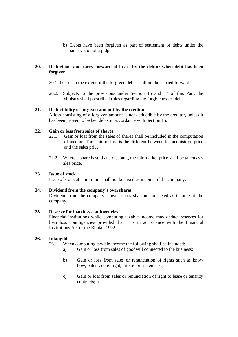b) Debts have been forgiven as part of settlement of debts under the supervision of a judge.

#### **20. Deductions and carry forward of losses by the debtor when debt has been forgiven**

- 20.1. Losses to the extent of the forgiven debts shall not be carried forward.
- 20.2. Subjects to the provisions under Section 15 and 17 of this Part, the Ministry shall prescribed rules regarding the forgiveness of debt.

#### **21. Deductibility of forgiven amount by the creditor**

A loss consisting of a forgiven amount is not deductible by the creditor, unless it has been proven to be bed debts in accordance with Section 15.

#### **22. Gain or loss from sales of shares**

- 22.1 Gain or loss from the sales of shares shall be included in the computation of income. The Gain or loss is the different between the acquisition price and the sales price.
- 22.2. Where a share is sold at a discount, the fair market price shall be taken as s ales price.

#### **23. Issue of stock**

Issue of stock at a premium shall not be taxed as income of the company.

#### **24. Dividend from the company's own shares**

Dividend from the company's own shares shall not be taxed as income of the company.

#### **25. Reserve for loan loss contingencies**

Financial institutions while computing taxable income may deduct reserves for loan loss contingencies provided that it is in accordance with the Financial Institutions Act of the Bhutan 1992.

#### **26. Intangibles**

26.1. When computing taxable income the following shall be included:-

- a) Gain or loss from sales of goodwill connected to the business;
- b) Gain or loss from sales or renunciation of rights such as know how, patent, copy right, artistic or trademarks;
- c) Gain or loss from sales or renunciation of right to lease or tenancy contracts; or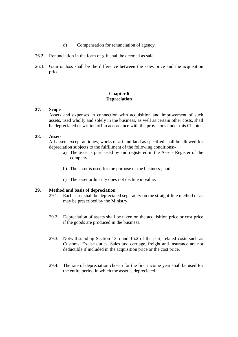- d) Compensation for renunciation of agency.
- 26.2. Renunciation in the form of gift shall be deemed as sale.
- 26.3. Gain or loss shall be the difference between the sales price and the acquisition price.

#### **Chapter 6 Depreciation**

#### **27. Scope**

Assets and expenses in connection with acquisition and improvement of such assets, used wholly and solely in the business, as well as certain other costs, shall be depreciated or written off in accordance with the provisions under this Chapter.

#### **28. Assets**

All assets except antiques, works of art and land as specified shall be allowed for depreciation subjects to the fulfillment of the following conditions:-

- a) The asset is purchased by and registered in the Assets Register of the company.
- b) The asset is used for the purpose of the business ; and
- c) The asset ordinarily does not decline in value.

#### **29. Method and basis of depreciation**

- 29.1. Each asset shall be depreciated separately on the straight-line method or as may be prescribed by the Ministry.
- 29.2. Depreciation of assets shall be taken on the acquisition price or cost price if the goods are produced in the business.
- 29.3. Notwithstanding Section 13.5 and 16.2 of the part, related costs such as Customs, Excise duties, Sales tax, carriage, freight and insurance are not deductible if included in the acquisition price or the cost price.
- 29.4. The rate of depreciation chosen for the first income year shall be used for the entire period in which the asset is depreciated.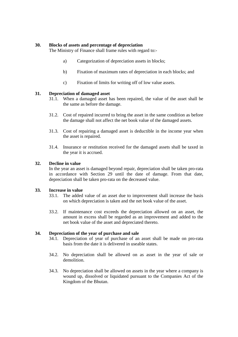#### **30. Blocks of assets and percentage of depreciation**

The Ministry of Finance shall frame rules with regard to:-

- a) Categorization of depreciation assets in blocks;
- b) Fixation of maximum rates of depreciation in each blocks; and
- c) Fixation of limits for writing off of low value assets.

#### **31. Depreciation of damaged asset**

- 31.1. When a damaged asset has been repaired, the value of the asset shall be the same as before the damage.
- 31.2. Cost of repaired incurred to bring the asset in the same condition as before the damage shall not affect the net book value of the damaged assets.
- 31.3. Cost of repairing a damaged asset is deductible in the income year when the asset is repaired.
- 31.4. Insurance or restitution received for the damaged assets shall be taxed in the year it is accrued.

#### **32. Decline in value**

In the year an asset is damaged beyond repair, depreciation shall be taken pro-rata in accordance with Section 29 until the date of damage. From that date, depreciation shall be taken pro-rata on the decreased value.

#### **33. Increase in value**

- 33.1. The added value of an asset due to improvement shall increase the basis on which depreciation is taken and the net book value of the asset.
- 33.2. If maintenance cost exceeds the depreciation allowed on an asset, the amount in excess shall be regarded as an improvement and added to the net book value of the asset and depreciated thereto.

#### **34. Depreciation of the year of purchase and sale**

- 34.1. Depreciation of year of purchase of an asset shall be made on pro-rata basis from the date it is delivered in useable states.
- 34.2. No depreciation shall be allowed on as asset in the year of sale or demolition.
- 34.3. No depreciation shall be allowed on assets in the year where a company is wound up, dissolved or liquidated pursuant to the Companies Act of the Kingdom of the Bhutan.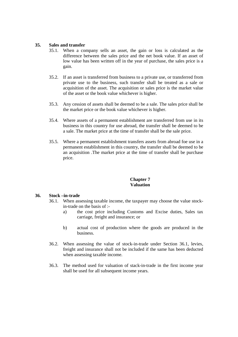#### **35. Sales and transfer**

- 35.1. When a company sells an asset, the gain or loss is calculated as the difference between the sales price and the net book value. If an asset of low value has been written off in the year of purchase, the sales price is a gain.
- 35.2. If an asset is transferred from business to a private use, or transferred from private use to the business, such transfer shall be treated as a sale or acquisition of the asset. The acquisition or sales price is the market value of the asset or the book value whichever is higher.
- 35.3. Any cession of assets shall be deemed to be a sale. The sales price shall be the market price or the book value whichever is higher.
- 35.4. Where assets of a permanent establishment are transferred from use in its business in this country for use abroad, the transfer shall be deemed to be a sale. The market price at the time of transfer shall be the sale price.
- 35.5. Where a permanent establishment transfers assets from abroad foe use in a permanent establishment in this country, the transfer shall be deemed to be an acquisition .The market price at the time of transfer shall be purchase price.

#### **Chapter 7 Valuation**

#### **36. Stock –in-trade**

- 36.1. When assessing taxable income, the taxpayer may choose the value stockin-trade on the basis of :
	- a) the cost price including Customs and Excise duties, Sales tax carriage, freight and insurance; or
	- b) actual cost of production where the goods are produced in the business.
- 36.2. When assessing the value of stock-in-trade under Section 36.1, levies, freight and insurance shall not be included if the same has been deducted when assessing taxable income.
- 36.3. The method used for valuation of stack-in-trade in the first income year shall be used for all subsequent income years.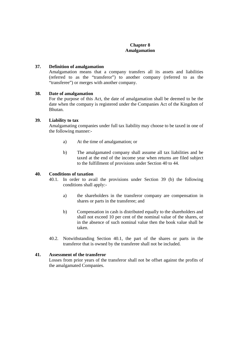#### **Chapter 8 Amalgamation**

#### **37. Definition of amalgamation**

Amalgamation means that a company transfers all its assets and liabilities (referred to as the "transferor") to another company (referred to as the "transferee") or merges with another company.

#### **38. Date of amalgamation**

For the purpose of this Act, the date of amalgamation shall be deemed to be the date when the company is registered under the Companies Act of the Kingdom of Bhutan.

#### **39. Liability to tax**

Amalgamating companies under full tax liability may choose to be taxed in one of the following manner:-

- a) At the time of amalgamation; or
- b) The amalgamated company shall assume all tax liabilities and be taxed at the end of the income year when returns are filed subject to the fulfillment of provisions under Section 40 to 44.

### **40. Conditions of taxation**

- 40.1. In order to avail the provisions under Section 39 (b) the following conditions shall apply:
	- a) the shareholders in the transferor company are compensation in shares or parts in the transferee; and
	- b) Compensation in cash is distributed equally to the shareholders and shall not exceed 10 per cent of the nominal value of the shares, or in the absence of such nominal value then the book value shall be taken.
- 40.2. Notwithstanding Section 40.1, the part of the shares or parts in the transferor that is owned by the transferee shall not be included.

#### **41. Assessment of the transferor**

Losses from prior years of the transferor shall not be offset against the profits of the amalgamated Companies.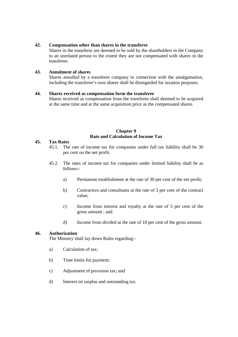#### **42. Compensation other than shares in the transferee**

Shares in the transferor are deemed to be sold by the shareholders in the Company to an unrelated person to the extent they are not compensated with shares in the transferee.

#### **43. Annulment of shares**

Shares annulled by a transferee company in connection with the amalgamation, including the transferee's own shares shall be disregarded for taxation purposes.

#### **44. Shares received as compensation form the transferee**

Shares received as compensation from the transferee shall deemed to be acquired at the same time and at the same acquisition price as the compensated shares.

#### **Chapter 9 Rate and Calculation of Income Tax**

#### **45. Tax Rates**

- 45.1. The rate of income tax for companies under full tax liability shall be 30 per cent on the net profit.
- 45.2. The rates of income tax for companies under limited liability shall be as follows:
	- a) Permanent establishment at the rate of 30 per cent of the net profit;
	- b) Contractors and consultants at the rate of 3 per cent of the contract value;
	- c) Income from interest and royalty at the rate of 5 per cent of the gross amount ; and
	- d) Income from divided at the rate of 10 per cent of the gross amount.

#### **46. Authorization**

The Ministry shall lay down Rules regarding:-

- a) Calculation of tax;
- b) Time limits for payment;
- c) Adjustment of provision tax; and
- d) Interest on surplus and outstanding tax.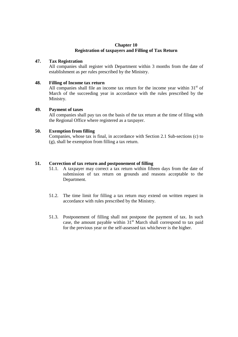#### **Chapter 10 Registration of taxpayers and Filling of Tax Return**

#### **47. Tax Registration**

All companies shall register with Department within 3 months from the date of establishment as per rules prescribed by the Ministry.

### **48. Filling of Income tax return**

All companies shall file an income tax return for the income year within  $31<sup>st</sup>$  of March of the succeeding year in accordance with the rules prescribed by the Ministry.

#### **49. Payment of taxes**

All companies shall pay tax on the basis of the tax return at the time of filing with the Regional Office where registered as a taxpayer.

#### **50. Exemption from filling**

Companies, whose tax is final, in accordance with Section 2.1 Sub-sections (c) to (g), shall be exemption from filling a tax return.

#### **51. Correction of tax return and postponement of filling**

- 51.1. A taxpayer may correct a tax return within fifteen days from the date of submission of tax return on grounds and reasons acceptable to the Department.
- 51.2. The time limit for filling a tax return may extend on written request in accordance with rules prescribed by the Ministry.
- 51.3. Postponement of filling shall not postpone the payment of tax. In such case, the amount payable within  $31<sup>st</sup>$  March shall correspond to tax paid for the previous year or the self-assessed tax whichever is the higher.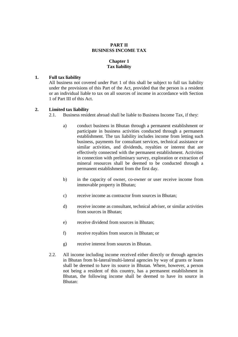#### **PART II BUSINESS INCOME TAX**

#### **Chapter 1 Tax liability**

#### **1. Full tax liability**

All business not covered under Part 1 of this shall be subject to full tax liability under the provisions of this Part of the Act, provided that the person is a resident or an individual liable to tax on all sources of income in accordance with Section 1 of Part III of this Act.

#### **2. Limited tax liability**

2.1. Business resident abroad shall be liable to Business Income Tax, if they:

- a) conduct business in Bhutan through a permanent establishment or participate in business activities conducted through a permanent establishment. The tax liability includes income from letting such business, payments for consultant services, technical assistance or similar activities, and dividends, royalties or interest that are effectively connected with the permanent establishment. Activities in connection with preliminary survey, exploration or extraction of mineral resources shall be deemed to be conducted through a permanent establishment from the first day.
- b) in the capacity of owner, co-owner or user receive income from immovable property in Bhutan;
- c) receive income as contractor from sources in Bhutan;
- d) receive income as consultant, technical adviser, or similar activities from sources in Bhutan;
- e) receive dividend from sources in Bhutan;
- f) receive royalties from sources in Bhutan; or
- g) receive interest from sources in Bhutan.
- 2.2. All income including income received either directly or through agencies in Bhutan from bi-lateral/multi-lateral agencies by way of grants or loans shall be deemed to have its source in Bhutan. Where, however, a person not being a resident of this country, has a permanent establishment in Bhutan, the following income shall be deemed to have its source in Bhutan: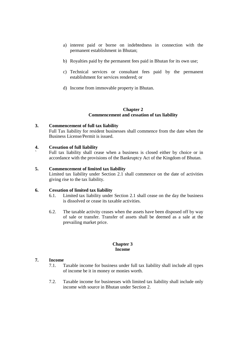- a) interest paid or borne on indebtedness in connection with the permanent establishment in Bhutan;
- b) Royalties paid by the permanent fees paid in Bhutan for its own use;
- c) Technical services or consultant fees paid by the permanent establishment for services rendered; or
- d) Income from immovable property in Bhutan.

#### **Chapter 2 Commencement and cessation of tax liability**

#### **3. Commencement of full tax liability**

Full Tax liability for resident businesses shall commence from the date when the Business License/Permit is issued.

#### **4. Cessation of full liability**

Full tax liability shall cease when a business is closed either by choice or in accordance with the provisions of the Bankruptcy Act of the Kingdom of Bhutan.

#### **5. Commencement of limited tax liability**

Limited tax liability under Section 2.1 shall commence on the date of activities giving rise to the tax liability.

#### **6. Cessation of limited tax liability**

- 6.1. Limited tax liability under Section 2.1 shall cease on the day the business is dissolved or cease its taxable activities.
- 6.2. The taxable activity ceases when the assets have been disposed off by way of sale or transfer. Transfer of assets shall be deemed as a sale at the prevailing market price.

#### **Chapter 3 Income**

#### **7. Income**

- 7.1. Taxable income for business under full tax liability shall include all types of income be it in money or monies worth.
- 7.2. Taxable income for businesses with limited tax liability shall include only income with source in Bhutan under Section 2.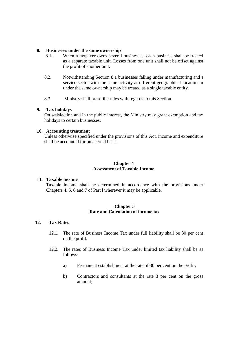#### **8. Businesses under the same ownership**

- 8.1. When a taxpayer owns several businesses, each business shall be treated as a separate taxable unit. Losses from one unit shall not be offset against the profit of another unit.
- 8.2. Notwithstanding Section 8.1 businesses falling under manufacturing and s service sector with the same activity at different geographical locations u under the same ownership may be treated as a single taxable entity.
- 8.3. Ministry shall prescribe rules with regards to this Section.

#### **9. Tax holidays**

On satisfaction and in the public interest, the Ministry may grant exemption and tax holidays to certain businesses.

#### **10. Accounting treatment**

Unless otherwise specified under the provisions of this Act, income and expenditure shall be accounted for on accrual basis.

#### **Chapter 4 Assessment of Taxable Income**

#### **11. Taxable income**

Taxable income shall be determined in accordance with the provisions under Chapters 4, 5, 6 and 7 of Part l wherever it may be applicable.

#### **Chapter 5 Rate and Calculation of income tax**

#### **12. Tax Rates**

- 12.1. The rate of Business Income Tax under full liability shall be 30 per cent on the profit.
- 12.2. The rates of Business Income Tax under limited tax liability shall be as follows:
	- a) Permanent establishment at the rate of 30 per cent on the profit;
	- b) Contractors and consultants at the rate 3 per cent on the gross amount;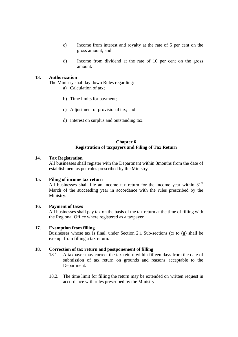- c) Income from interest and royalty at the rate of 5 per cent on the gross amount; and
- d) Income from dividend at the rate of 10 per cent on the gross amount.

#### **13. Authorization**

The Ministry shall lay down Rules regarding:-

- a) Calculation of tax;
- b) Time limits for payment;
- c) Adjustment of provisional tax; and
- d) Interest on surplus and outstanding tax.

#### **Chapter 6 Registration of taxpayers and Filing of Tax Return**

#### **14. Tax Registration**

All businesses shall register with the Department within 3months from the date of establishment as per rules prescribed by the Ministry.

#### **15. Filing of income tax return**

All businesses shall file an income tax return for the income year within  $31<sup>st</sup>$ March of the succeeding year in accordance with the rules prescribed by the Ministry.

#### **16. Payment of taxes**

All businesses shall pay tax on the basis of the tax return at the time of filling with the Regional Office where registered as a taxpayer.

#### **17. Exemption from filling**

Businesses whose tax is final, under Section 2.1 Sub-sections (c) to (g) shall be exempt from filling a tax return.

#### **18. Correction of tax return and postponement of filling**

- 18.1. A taxpayer may correct the tax return within fifteen days from the date of submission of tax return on grounds and reasons acceptable to the Department.
- 18.2. The time limit for filling the return may be extended on written request in accordance with rules prescribed by the Ministry.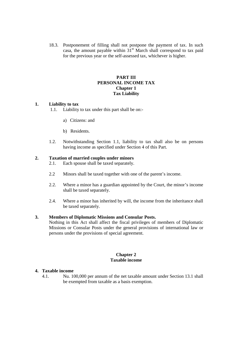18.3. Postponement of filling shall not postpone the payment of tax. In such casa, the amount payable within  $31<sup>st</sup>$  March shall correspond to tax paid for the previous year or the self-assessed tax, whichever is higher.

#### **PART III PERSONAL INCOME TAX Chapter 1 Tax Liability**

#### **1. Liability to tax**

1.1. Liability to tax under this part shall be on:-

- a) Citizens: and
- b) Residents.
- 1.2. Notwithstanding Section 1.1, liability to tax shall also be on persons having income as specified under Section 4 of this Part.

#### **2. Taxation of married couples under minors**

2.1. Each spouse shall be taxed separately.

- 2.2 Minors shall be taxed together with one of the parent's income.
- 2.2. Where a minor has a guardian appointed by the Court, the minor's income shall be taxed separately.
- 2.4. Where a minor has inherited by will, the income from the inheritance shall be taxed separately.

#### **3. Members of Diplomatic Missions and Consular Posts.**

Nothing in this Act shall affect the fiscal privileges of members of Diplomatic Missions or Consular Posts under the general provisions of international law or persons under the provisions of special agreement.

#### **Chapter 2 Taxable income**

#### **4. Taxable income**

4.1. Nu. 100,000 per annum of the net taxable amount under Section 13.1 shall be exempted from taxable as a basis exemption.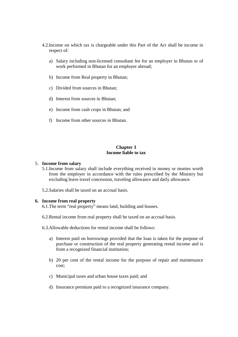- 4.2.Income on which tax is chargeable under this Part of the Act shall be income in respect of:
	- a) Salary including non-licensed consultant fee for an employer in Bhutan or of work performed in Bhutan for an employer abroad;
	- b) Income from Real property in Bhutan;
	- c) Divided from sources in Bhutan;
	- d) Interest from sources in Bhutan;
	- e) Income from cash crops in Bhutan; and
	- f) Income from other sources in Bhutan.

#### **Chapter 3 Income liable to tax**

#### 5. **Income from salary**

- 5.1.Income from salary shall include everything received in money or monies worth from the employer in accordance with the rules prescribed by the Ministry but excluding leave travel concession, traveling allowance and daily allowance.
- 5.2.Salaries shall be taxed on an accrual basis.

#### **6. Income from real property**

- 6.1.The term "real property" means land, building and houses.
- 6.2.Rental income from real property shall be taxed on an accrual basis.
- 6.3.Allowable deductions for rental income shall be follows:
	- a) Interest paid on borrowings provided that the loan is taken for the purpose of purchase or construction of the real property generating rental income and is from a recognized financial institution;
	- b) 20 per cent of the rental income for the purpose of repair and maintenance cost;
	- c) Municipal taxes and urban house taxes paid; and
	- d) Insurance premium paid to a recognized insurance company.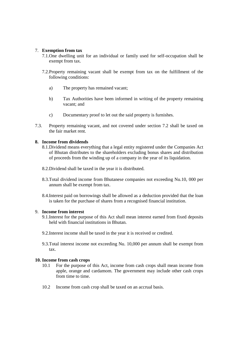#### 7. **Exemption from tax**

- 7.1.One dwelling unit for an individual or family used for self-occupation shall be exempt from tax.
- 7.2.Property remaining vacant shall be exempt from tax on the fulfillment of the following conditions:
	- a) The property has remained vacant;
	- b) Tax Authorities have been informed in writing of the property remaining vacant; and
	- c) Documentary proof to let out the said property is furnishes.
- 7.3. Property remaining vacant, and not covered under section 7.2 shall be taxed on the fair market rent.

#### **8. Income from dividends**

- 8.1.Dividend means everything that a legal entity registered under the Companies Act of Bhutan distributes to the shareholders excluding bonus shares and distribution of proceeds from the winding up of a company in the year of its liquidation.
- 8.2.Dividend shall be taxed in the year it is distributed.
- 8.3.Total dividend income from Bhutanese companies not exceeding Nu.10, 000 per annum shall be exempt from tax.
- 8.4.Interest paid on borrowings shall be allowed as a deduction provided that the loan is taken for the purchase of shares from a recognised financial institution.

#### 9. **Income from interest**

- 9.1.Interest for the purpose of this Act shall mean interest earned from fixed deposits held with financial institutions in Bhutan.
- 9.2.Interest income shall be taxed in the year it is received or credited.
- 9.3.Total interest income not exceeding Nu. 10,000 per annum shall be exempt from tax.

#### **10. Income from cash crops**

- 10.1 For the purpose of this Act, income from cash crops shall mean income from apple, orange and cardamom. The government may include other cash crops from time to time.
- 10.2 Income from cash crop shall be taxed on an accrual basis.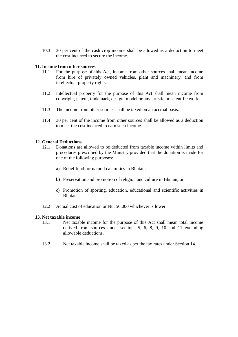10.3 30 per cent of the cash crop income shall be allowed as a deduction to meet the cost incurred to secure the income.

#### **11. Income from other sources**

- 11.1 For the purpose of this Act, income from other sources shall mean income from hire of privately owned vehicles, plant and machinery, and from intellectual property rights.
- 11.2 Intellectual property for the purpose of this Act shall mean income from copyright, patent, trademark, design, model or any artistic or scientific work.
- 11.3 The income from other sources shall be taxed on an accrual basis.
- 11.4 30 per cent of the income from other sources shall be allowed as a deduction to meet the cost incurred to earn such income.

#### **12. General Deductions**

- 12.1 Donations are allowed to be deducted from taxable income within limits and procedures prescribed by the Ministry provided that the donation is made for one of the following purposes:
	- a) Relief fund for natural calamities in Bhutan;
	- b) Preservation and promotion of religion and culture in Bhutan; or
	- c) Promotion of sporting, education, educational and scientific activities in Bhutan.
- 12.2 Actual cost of education or Nu. 50,000 whichever is lower.

#### **13. Net taxable income**

- 13.1 Net taxable income for the purpose of this Act shall mean total income derived from sources under sections 5, 6, 8, 9, 10 and 11 excluding allowable deductions.
- 13.2 Net taxable income shall be taxed as per the tax rates under Section 14.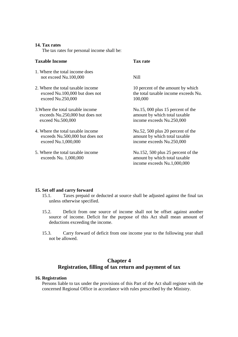#### **14. Tax rates**

The tax rates for personal income shall be:

#### **Taxable Income Tax rate**

- 1. Where the total income does not exceed Nu.100,000 Nill
- 2. Where the total taxable income 10 percent of the amount by which exceed Nu.250,000 100,000
- 3. Where the total taxable income Nu.15, 000 plus 15 percent of the exceeds Nu.250,000 but does not amount by which total taxable exceed Nu.500,000 income exceeds Nu.250,000
- 4. Where the total taxable income Nu.52, 500 plus 20 percent of the exceeds Nu.500,000 but does not amount by which total taxable exceed Nu.1,000,000 income exceeds Nu.250,000
- 5. Where the total taxable income Nu.152, 500 plus 25 percent of the exceeds Nu. 1,000,000 amount by which total taxable

exceed Nu.100,000 but does not the total taxable income exceeds Nu.

income exceeds Nu.1,000,000

#### **15. Set off and carry forward**

- 15.1. Taxes prepaid or deducted at source shall be adjusted against the final tax unless otherwise specified.
- 15.2. Deficit from one source of income shall not be offset against another source of income. Deficit for the purpose of this Act shall mean amount of deductions exceeding the income.
- 15.3. Carry forward of deficit from one income year to the following year shall not be allowed.

### **Chapter 4 Registration, filling of tax return and payment of tax**

#### **16. Registration**

Persons liable to tax under the provisions of this Part of the Act shall register with the concerned Regional Office in accordance with rules prescribed by the Ministry.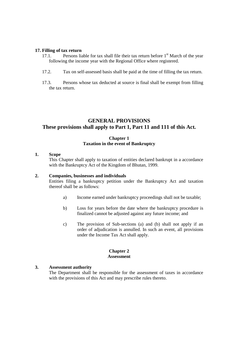#### **17. Filling of tax return**

- 17.1. Persons liable for tax shall file their tax return before  $1<sup>st</sup>$  March of the year following the income year with the Regional Office where registered.
- 17.2. Tax on self-assessed basis shall be paid at the time of filling the tax return.
- 17.3. Persons whose tax deducted at source is final shall be exempt from filling the tax return.

### **GENERAL PROVISIONS These provisions shall apply to Part 1, Part 11 and 111 of this Act.**

#### **Chapter 1 Taxation in the event of Bankruptcy**

#### **1. Scope**

This Chapter shall apply to taxation of entities declared bankrupt in a accordance with the Bankruptcy Act of the Kingdom of Bhutan, 1999.

#### **2. Companies, businesses and individuals**

Entities filing a bankruptcy petition under the Bankruptcy Act and taxation thereof shall be as follows:

- a) Income earned under bankruptcy proceedings shall not be taxable;
- b) Loss for years before the date where the bankruptcy procedure is finalized cannot be adjusted against any future income; and
- c) The provision of Sub-sections (a) and (b) shall not apply if an order of adjudication is annulled. In such an event, all provisions under the Income Tax Act shall apply.

#### **Chapter 2 Assessment**

#### **3. Assessment authority**

The Department shall be responsible for the assessment of taxes in accordance with the provisions of this Act and may prescribe rules thereto.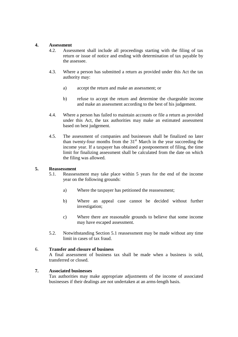#### **4. Assessment**

- 4.2. Assessment shall include all proceedings starting with the filing of tax return or issue of notice and ending with determination of tax payable by the assessee.
- 4.3. Where a person has submitted a return as provided under this Act the tax authority may:
	- a) accept the return and make an assessment; or
	- b) refuse to accept the return and determine the chargeable income and make an assessment according to the best of his judgement.
- 4.4. Where a person has failed to maintain accounts or file a return as provided under this Act, the tax authorities may make an estimated assessment based on best judgement.
- 4.5. The assessment of companies and businesses shall be finalized no later than twenty-four months from the  $31<sup>st</sup>$  March in the year succeeding the income year. If a taxpayer has obtained a postponement of filing, the time limit for finalizing assessment shall be calculated from the date on which the filing was allowed.

#### **5. Reassessment**

- 5.1. Reassessment may take place within 5 years for the end of the income year on the following grounds:
	- a) Where the taxpayer has petitioned the reassessment;
	- b) Where an appeal case cannot be decided without further investigation;
	- c) Where there are reasonable grounds to believe that some income may have escaped assessment.
- 5.2. Notwithstanding Section 5.1 reassessment may be made without any time limit in cases of tax fraud.

#### 6. **Transfer and closure of business**

A final assessment of business tax shall be made when a business is sold, transferred or closed.

#### **7. Associated businesses**

Tax authorities may make appropriate adjustments of the income of associated businesses if their dealings are not undertaken at an arms-length basis.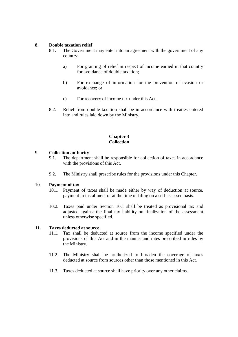#### **8. Double taxation relief**

- 8.1. The Government may enter into an agreement with the government of any country:
	- a) For granting of relief in respect of income earned in that country for avoidance of double taxation;
	- b) For exchange of information for the prevention of evasion or avoidance; or
	- c) For recovery of income tax under this Act.
- 8.2. Relief from double taxation shall be in accordance with treaties entered into and rules laid down by the Ministry.

#### **Chapter 3 Collection**

#### 9. **Collection authority**

- 9.1. The department shall be responsible for collection of taxes in accordance with the provisions of this Act.
- 9.2. The Ministry shall prescribe rules for the provisions under this Chapter.

#### 10. **Payment of tax**

- 10.1. Payment of taxes shall be made either by way of deduction at source, payment in installment or at the time of filing on a self-assessed basis.
- 10.2. Taxes paid under Section 10.1 shall be treated as provisional tax and adjusted against the final tax liability on finalization of the assessment unless otherwise specified.

#### **11. Taxes deducted at source**

- 11.1. Tax shall be deducted at source from the income specified under the provisions of this Act and in the manner and rates prescribed in rules by the Ministry.
- 11.2. The Ministry shall be aruthorized to broaden the coverage of taxes deducted at source from sources other than those mentioned in this Act.
- 11.3. Taxes deducted at source shall have priority over any other claims.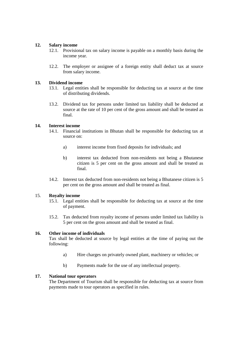#### **12. Salary income**

- 12.1. Provisional tax on salary income is payable on a monthly basis during the income year.
- 12.2. The employer or assignee of a foreign entity shall deduct tax at source from salary income.

#### **13. Dividend income**

- 13.1. Legal entities shall be responsible for deducting tax at source at the time of distributing dividends.
- 13.2. Dividend tax for persons under limited tax liability shall be deducted at source at the rate of 10 per cent of the gross amount and shall be treated as final.

### **14. Interest income**

- 14.1. Financial institutions in Bhutan shall be responsible for deducting tax at source on:
	- a) interest income from fixed deposits for individuals; and
	- b) interest tax deducted from non-residents not being a Bhutanese citizen is 5 per cent on the gross amount and shall be treated as final.
- 14.2. Interest tax deducted from non-residents not being a Bhutanese citizen is 5 per cent on the gross amount and shall be treated as final.

#### 15. **Royalty income**

- 15.1. Legal entities shall be responsible for deducting tax at source at the time of payment.
- 15.2. Tax deducted from royalty income of persons under limited tax liability is 5 per cent on the gross amount and shall be treated as final.

#### **16. Other income of individuals**

Tax shall be deducted at source by legal entities at the time of paying out the following:

- a) Hire charges on privately owned plant, machinery or vehicles; or
- b) Payments made for the use of any intellectual property.

#### **17. National tour operators**

The Department of Tourism shall be responsible for deducting tax at source from payments made to tour operators as specified in rules.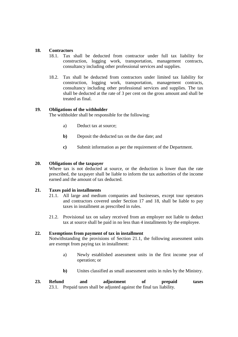#### **18. Contractors**

- 18.1. Tax shall be deducted from contractor under full tax liability for construction, logging work, transportation, management contracts, consultancy including other professional services and supplies.
- 18.2. Tax shall be deducted from contractors under limited tax liability for construction, logging work, transportation, management contracts, consultancy including other professional services and supplies. The tax shall be deducted at the rate of 3 per cent on the gross amount and shall be treated as final.

#### **19. Obligations of the withholder**

The withholder shall be responsible for the following:

- a) Deduct tax at source;
- **b**) Deposit the deducted tax on the due date; and
- **c)** Submit information as per the requirement of the Department.

#### **20. Obligations of the taxpayer**

Where tax is not deducted at source, or the deduction is lower than the rate prescribed, the taxpayer shall be liable to inform the tax authorities of the income earned and the amount of tax deducted.

#### **21. Taxes paid in installments**

- 21.1. All large and medium companies and businesses, except tour operators and contractors covered under Section 17 and 18, shall be liable to pay taxes in installment as prescribed in rules.
- 21.2. Provisional tax on salary received from an employer not liable to deduct tax at source shall be paid in no less than 4 installments by the employee.

#### **22. Exemptions from payment of tax in installment**

Notwithstanding the provisions of Section 21.1, the following assessment units are exempt from paying tax in installment:

- a) Newly established assessment units in the first income year of operation; or
- **b)** Unites classified as small assessment units in rules by the Ministry.
- **23. Refund and adjustment of prepaid taxes**  23.1. Prepaid taxes shall be adjusted against the final tax liability.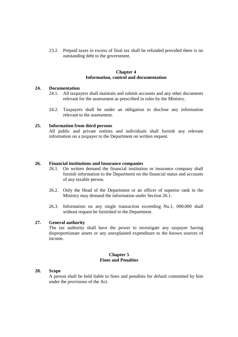23.2. Prepaid taxes in excess of final tax shall be refunded provided there is no outstanding debt to the government.

#### **Chapter 4 Information, control and documentation**

#### **24. Documentation**

- 24.1. All taxpayers shall maintain and submit accounts and any other documents relevant for the assessment as prescribed in rules by the Ministry.
- 24.2. Taxpayers shall be under an obligation to disclose any information relevant to the assessment.

#### **25. Information from third persons**

All public and private entities and individuals shall furnish any relevant information on a taxpayer to the Department on written request.

#### **26. Financial institutions and Insurance companies**

- 26.1. On written demand the financial institution or insurance company shall furnish information to the Department on the financial status and accounts of any taxable person.
- 26.2. Only the Head of the Department or an officer of superior rank in the Ministry may demand the information under Section 26.1.
- 26.3. Information on any single transaction exceeding Nu.1, 000,000 shall without request be furnished to the Department.

#### **27. General authority**

The tax authority shall have the power to investigate any taxpayer having disproportionate assets or any unexplained expenditure to the known sources of income.

#### **Chapter 5 Fines and Penalties**

#### **28. Scope**

A person shall be held liable to fines and penalties for default committed by him under the provisions of the Act.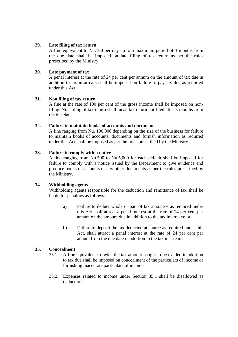#### **29. Late filing of tax return**

A fine equivalent to Nu.100 per day up to a maximum period of 3 months from the due date shall be imposed on late filing of tax return as per the rules prescribed by the Ministry.

#### **30. Late payment of tax**

A penal interest at the rate of 24 per cent per annum on the amount of tax due in addition to tax in arrears shall be imposed on failure to pay tax due as required under this Act.

#### **31. Non filing of tax return**

A fine at the rate of 100 per cent of the gross income shall be imposed on nonfiling. Non-filing of tax return shall mean tax return not filed after 3 months from the due date.

#### **32. Failure to maintain books of accounts and documents**

A fine ranging from Nu. 100,000 depending on the size of the business for failure to maintain books of accounts, documents and furnish information as required under this Act shall be imposed as per the rules prescribed by the Ministry.

#### **33. Failure to comply with a notice**

A fine ranging from Nu.500 to Nu.5,000 for each default shall be imposed for failure to comply with a notice issued by the Department to give evidence and produce books of accounts or any other documents as per the rules prescribed by the Ministry.

#### **34. Withholding agents**

Withholding agents responsible for the deduction and remittance of tax shall be liable for penalties as follows:

- a) Failure to deduct whole or part of tax at source as required under this Act shall attract a penal interest at the rate of 24 per cent per annum on the amount due in addition to the tax in arrears; or
- b) Failure to deposit the tax deducted at source as required under this Act, shall attract a penal interest at the rate of 24 per cent per annum from the due date in addition to the tax in arrears.

#### **35. Concealment**

- 35.1. A fine equivalent to twice the tax amount sought to be evaded in addition to tax due shall be imposed on concealment of the particulars of income or furnishing inaccurate particulars of income.
- 35.2. Expenses related to income under Section 35.1 shall be disallowed as deductions.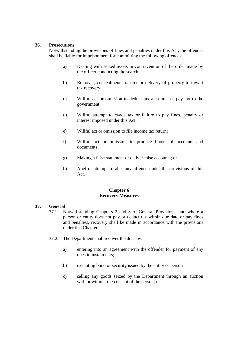#### **36. Prosecutions**

Notwithstanding the provisions of fines and penalties under this Act, the offender shall be liable for imprisonment for committing the following offences:

- a) Dealing with seized assets in contravention of the order made by the officer conducting the search;
- b) Removal, concealment, transfer or delivery of property to thwart tax recovery;
- c) Willful act or omission to deduct tax at source or pay tax to the government;
- d) Willful attempt to evade tax or failure to pay fines, penalty or interest imposed under this Act;
- e) Willful act or omission to file income tax return;
- f) Willful act or omission to produce books of accounts and documents;
- g) Making a false statement or deliver false accounts; or
- h) Abet or attempt to abet any offence under the provisions of this Act.

#### **Chapter 6 Recovery Measures**

#### **37. General**

- 37.1. Notwithstanding Chapters 2 and 3 of General Provisions, and where a person or entity does not pay or deduct tax within due date or pay fines and penalties, recovery shall be made in accordance with the provisions under this Chapter.
- 37.2. The Department shall recover the dues by:
	- a) entering into an agreement with the offender for payment of any dues in instalments;
	- b) executing bond or security issued by the entity or person
	- c) selling any goods seized by the Department through an auction with or without the consent of the person; or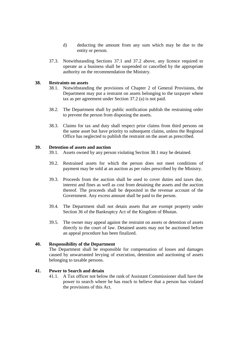- d) deducting the amount from any sum which may be due to the entity or person.
- 37.3. Notwithstanding Sections 37.1 and 37.2 above, any licence required to operate as a business shall be suspended or cancelled by the appropriate authority on the recommendation the Ministry.

#### **38. Restraints on assets**

- 38.1. Notwithstanding the provisions of Chapter 2 of General Provisions, the Department may put a restraint on assets belonging to the taxpayer where tax as per agreement under Section 37.2 (a) is not paid.
- 38.2. The Department shall by public notification publish the restraining order to prevent the person from disposing the assets.
- 38.3. Claims for tax and duty shall respect prior claims from third persons on the same asset but have priority to subsequent claims, unless the Regional Office has neglected to publish the restraint on the asset as prescribed.

#### **39. Detention of assets and auction**

- 39.1. Assets owned by any person violating Section 38.1 may be detained.
- 39.2. Restrained assets for which the person does not meet conditions of payment may be sold at an auction as per rules prescribed by the Ministry.
- 39.3. Proceeds from the auction shall be used to cover duties and taxes due, interest and fines as well as cost from detaining the assets and the auction thereof. The proceeds shall be deposited in the revenue account of the Government. Any excess amount shall be paid to the person.
- 39.4. The Department shall not detain assets that are exempt property under Section 36 of the Bankruptcy Act of the Kingdom of Bhutan.
- 39.5. The owner may appeal against the restraint on assets or detention of assets directly to the court of law. Detained assets may not be auctioned before an appeal procedure has been finalized.

#### **40. Responsibility of the Department**

The Department shall be responsible for compensation of losses and damages caused by unwarranted levying of execution, detention and auctioning of assets belonging to taxable persons.

#### **41. Power to Search and detain**

41.1. A Tax officer not below the rank of Assistant Commissioner shall have the power to search where he has reach to believe that a person has violated the provisions of this Act.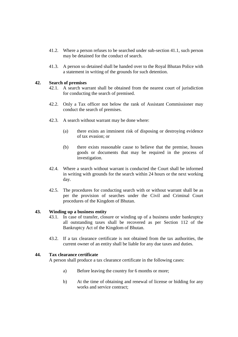- 41.2. Where a person refuses to be searched under sub-section 41.1, such person may be detained for the conduct of search.
- 41.3. A person so detained shall be handed over to the Royal Bhutan Police with a statement in writing of the grounds for such detention.

#### **42. Search of premises**

- 42.1. A search warrant shall be obtained from the nearest court of jurisdiction for conducting the search of premised.
- 42.2. Only a Tax officer not below the rank of Assistant Commissioner may conduct the search of premises.
- 42.3. A search without warrant may be done where:
	- (a) there exists an imminent risk of disposing or destroying evidence of tax evasion; or
	- (b) there exists reasonable cause to believe that the premise, houses goods or documents that may be required in the process of investigation.
- 42.4. Where a search without warrant is conducted the Court shall be informed in writing with grounds for the search within 24 hours or the next working day.
- 42.5. The procedures for conducting search with or without warrant shall be as per the provision of searches under the Civil and Criminal Court procedures of the Kingdom of Bhutan.

#### **43. Winding up a business entity**

- 43.1. In case of transfer, closure or winding up of a business under bankruptcy all outstanding taxes shall be recovered as per Section 112 of the Bankruptcy Act of the Kingdom of Bhutan.
- 43.2. If a tax clearance certificate is not obtained from the tax authorities, the current owner of an entity shall be liable for any due taxes and duties.

#### **44. Tax clearance certificate**

A person shall produce a tax clearance certificate in the following cases:

- a) Before leaving the country for 6 months or more;
- b) At the time of obtaining and renewal of license or bidding for any works and service contract;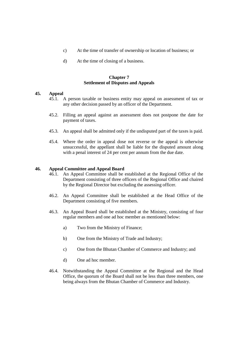- c) At the time of transfer of ownership or location of business; or
- d) At the time of closing of a business.

#### **Chapter 7 Settlement of Disputes and Appeals**

#### **45. Appeal**

- 45.1. A person taxable or business entity may appeal on assessment of tax or any other decision passed by an officer of the Department.
- 45.2. Filling an appeal against an assessment does not postpone the date for payment of taxes.
- 45.3. An appeal shall be admitted only if the undisputed part of the taxes is paid.
- 45.4. Where the order in appeal dose not reverse or the appeal is otherwise unsuccessful, the appellant shall be liable for the disputed amount along with a penal interest of 24 per cent per annum from the due date.

#### **46. Appeal Committee and Appeal Board**

- 46.1. An Appeal Committee shall be established at the Regional Office of the Department consisting of three officers of the Regional Office and chaired by the Regional Director but excluding the assessing officer.
- 46.2. An Appeal Committee shall be established at the Head Office of the Department consisting of five members.
- 46.3. An Appeal Board shall be established at the Ministry, consisting of four regular members and one ad hoc member as mentioned below:
	- a) Two from the Ministry of Finance;
	- b) One from the Ministry of Trade and Industry;
	- c) One from the Bhutan Chamber of Commerce and Industry; and
	- d) One ad hoc member.
- 46.4. Notwithstanding the Appeal Committee at the Regional and the Head Office, the quorum of the Board shall not be less than three members, one being always from the Bhutan Chamber of Commerce and Industry.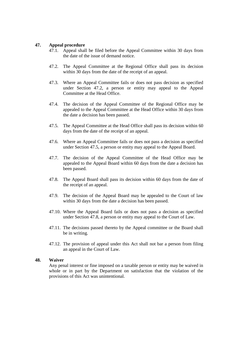#### **47. Appeal procedure**

- 47.1. Appeal shall be filed before the Appeal Committee within 30 days from the date of the issue of demand notice.
- 47.2. The Appeal Committee at the Regional Office shall pass its decision within 30 days from the date of the receipt of an appeal.
- 47.3. Where an Appeal Committee fails or does not pass decision as specified under Section 47.2, a person or entity may appeal to the Appeal Committee at the Head Office.
- 47.4. The decision of the Appeal Committee of the Regional Office may be appealed to the Appeal Committee at the Head Office within 30 days from the date a decision has been passed.
- 47.5. The Appeal Committee at the Head Office shall pass its decision within 60 days from the date of the receipt of an appeal.
- 47.6. Where an Appeal Committee fails or does not pass a decision as specified under Section 47.5, a person or entity may appeal to the Appeal Board.
- 47.7. The decision of the Appeal Committee of the Head Office may be appealed to the Appeal Board within 60 days from the date a decision has been passed.
- 47.8. The Appeal Board shall pass its decision within 60 days from the date of the receipt of an appeal.
- 47.9. The decision of the Appeal Board may be appealed to the Court of law within 30 days from the date a decision has been passed.
- 47.10. Where the Appeal Board fails or does not pass a decision as specified under Section 47.8, a person or entity may appeal to the Court of Law.
- 47.11. The decisions passed thereto by the Appeal committee or the Board shall be in writing.
- 47.12. The provision of appeal under this Act shall not bar a person from filing an appeal in the Court of Law.

#### **48. Waiver**

Any penal interest or fine imposed on a taxable person or entity may be waived in whole or in part by the Department on satisfaction that the violation of the provisions of this Act was unintentional.